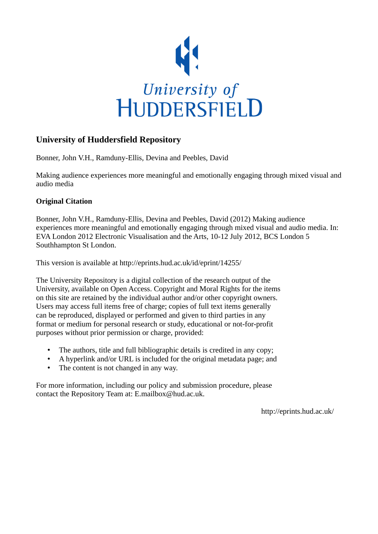

## **University of Huddersfield Repository**

Bonner, John V.H., Ramduny-Ellis, Devina and Peebles, David

Making audience experiences more meaningful and emotionally engaging through mixed visual and audio media

## **Original Citation**

Bonner, John V.H., Ramduny-Ellis, Devina and Peebles, David (2012) Making audience experiences more meaningful and emotionally engaging through mixed visual and audio media. In: EVA London 2012 Electronic Visualisation and the Arts, 10-12 July 2012, BCS London 5 Southhampton St London.

This version is available at http://eprints.hud.ac.uk/id/eprint/14255/

The University Repository is a digital collection of the research output of the University, available on Open Access. Copyright and Moral Rights for the items on this site are retained by the individual author and/or other copyright owners. Users may access full items free of charge; copies of full text items generally can be reproduced, displayed or performed and given to third parties in any format or medium for personal research or study, educational or not-for-profit purposes without prior permission or charge, provided:

- The authors, title and full bibliographic details is credited in any copy;
- A hyperlink and/or URL is included for the original metadata page; and
- The content is not changed in any way.

For more information, including our policy and submission procedure, please contact the Repository Team at: E.mailbox@hud.ac.uk.

http://eprints.hud.ac.uk/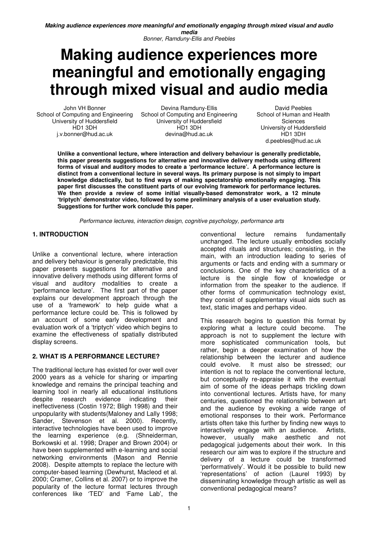Bonner, Ramduny-Ellis and Peebles

# **Making audience experiences more meaningful and emotionally engaging through mixed visual and audio media**

John VH Bonner School of Computing and Engineering University of Huddersfield HD1 3DH j.v.bonner@hud.ac.uk

Devina Ramduny-Ellis School of Computing and Engineering University of Huddersfield HD1 3DH devina@hud.ac.uk

David Peebles School of Human and Health Sciences University of Huddersfield HD1 3DH d.peebles@hud.ac.uk

**Unlike a conventional lecture, where interaction and delivery behaviour is generally predictable, this paper presents suggestions for alternative and innovative delivery methods using different forms of visual and auditory modes to create a 'performance lecture'. A performance lecture is distinct from a conventional lecture in several ways. Its primary purpose is not simply to impart knowledge didactically, but to find ways of making spectatorship emotionally engaging. This paper first discusses the constituent parts of our evolving framework for performance lectures. We then provide a review of some initial visually-based demonstrator work, a 12 minute 'triptych' demonstrator video, followed by some preliminary analysis of a user evaluation study. Suggestions for further work conclude this paper.** 

Performance lectures, interaction design, cognitive psychology, performance arts

## **1. INTRODUCTION**

Unlike a conventional lecture, where interaction and delivery behaviour is generally predictable, this paper presents suggestions for alternative and innovative delivery methods using different forms of visual and auditory modalities to create a 'performance lecture'. The first part of the paper explains our development approach through the use of a 'framework' to help guide what a performance lecture could be. This is followed by an account of some early development and evaluation work of a 'triptych' video which begins to examine the effectiveness of spatially distributed display screens.

## **2. WHAT IS A PERFORMANCE LECTURE?**

The traditional lecture has existed for over well over 2000 years as a vehicle for sharing or imparting knowledge and remains the principal teaching and learning tool in nearly all educational institutions despite research evidence indicating their ineffectiveness (Costin 1972; Bligh 1998) and their unpopularity with students(Maloney and Lally 1998; Sander, Stevenson et al. 2000). Recently, interactive technologies have been used to improve the learning experience (e.g. (Shneiderman, Borkowski et al. 1998; Draper and Brown 2004) or have been supplemented with e-learning and social networking environments (Mason and Rennie 2008). Despite attempts to replace the lecture with computer-based learning (Dewhurst, Macleod et al. 2000; Cramer, Collins et al. 2007) or to improve the popularity of the lecture format lectures through conferences like 'TED' and 'Fame Lab', the

conventional lecture remains fundamentally unchanged. The lecture usually embodies socially accepted rituals and structures; consisting, in the main, with an introduction leading to series of arguments or facts and ending with a summary or conclusions. One of the key characteristics of a lecture is the single flow of knowledge or information from the speaker to the audience. If other forms of communication technology exist, they consist of supplementary visual aids such as text, static images and perhaps video.

This research begins to question this format by exploring what a lecture could become. The approach is not to supplement the lecture with more sophisticated communication tools, but rather, begin a deeper examination of how the relationship between the lecturer and audience could evolve. It must also be stressed; our intention is not to replace the conventional lecture, but conceptually re-appraise it with the eventual aim of some of the ideas perhaps trickling down into conventional lectures. Artists have, for many centuries, questioned the relationship between art and the audience by evoking a wide range of emotional responses to their work. Performance artists often take this further by finding new ways to interactively engage with an audience. Artists, however, usually make aesthetic and not pedagogical judgements about their work. In this research our aim was to explore if the structure and delivery of a lecture could be transformed 'performatively'. Would it be possible to build new 'representations' of action (Laurel 1993) by disseminating knowledge through artistic as well as conventional pedagogical means?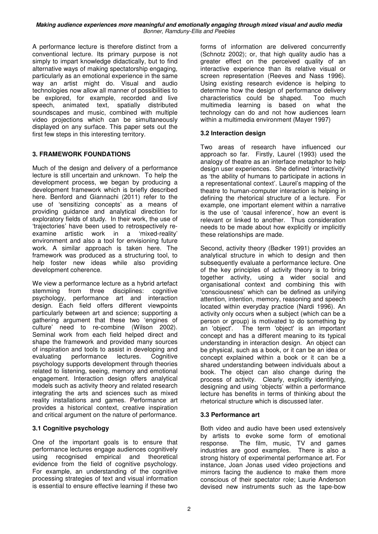A performance lecture is therefore distinct from a conventional lecture. Its primary purpose is not simply to impart knowledge didactically, but to find alternative ways of making spectatorship engaging, particularly as an emotional experience in the same way an artist might do. Visual and audio technologies now allow all manner of possibilities to be explored, for example, recorded and live speech, animated text, spatially distributed soundscapes and music, combined with multiple video projections which can be simultaneously displayed on any surface. This paper sets out the first few steps in this interesting territory.

#### **3. FRAMEWORK FOUNDATIONS**

Much of the design and delivery of a performance lecture is still uncertain and unknown. To help the development process, we began by producing a development framework which is briefly described here. Benford and Giannachi (2011) refer to the use of 'sensitizing concepts' as a means of providing guidance and analytical direction for exploratory fields of study. In their work, the use of 'trajectories' have been used to retrospectively reexamine artistic work in a 'mixed-reality' environment and also a tool for envisioning future work. A similar approach is taken here. The framework was produced as a structuring tool, to help foster new ideas while also providing development coherence.

We view a performance lecture as a hybrid artefact stemming from three disciplines: cognitive psychology, performance art and interaction design. Each field offers different viewpoints particularly between art and science; supporting a gathering argument that these two 'engines of culture' need to re-combine (Wilson 2002). Seminal work from each field helped direct and shape the framework and provided many sources of inspiration and tools to assist in developing and evaluating performance lectures. Cognitive psychology supports development through theories related to listening, seeing, memory and emotional engagement. Interaction design offers analytical models such as activity theory and related research integrating the arts and sciences such as mixed reality installations and games. Performance art provides a historical context, creative inspiration and critical argument on the nature of performance.

#### **3.1 Cognitive psychology**

One of the important goals is to ensure that performance lectures engage audiences cognitively using recognised empirical and theoretical evidence from the field of cognitive psychology. For example, an understanding of the cognitive processing strategies of text and visual information is essential to ensure effective learning if these two forms of information are delivered concurrently (Schnotz 2002); or, that high quality audio has a greater effect on the perceived quality of an interactive experience than its relative visual or screen representation (Reeves and Nass 1996). Using existing research evidence is helping to determine how the design of performance delivery characteristics could be shaped. Too much multimedia learning is based on what the technology can do and not how audiences learn within a multimedia environment (Mayer 1997)

#### **3.2 Interaction design**

Two areas of research have influenced our approach so far. Firstly, Laurel (1993) used the analogy of theatre as an interface metaphor to help design user experiences. She defined 'interactivity' as 'the ability of humans to participate in actions in a representational context'. Laurel's mapping of the theatre to human-computer interaction is helping in defining the rhetorical structure of a lecture. For example, one important element within a narrative is the use of 'causal inference', how an event is relevant or linked to another. Thus consideration needs to be made about how explicitly or implicitly these relationships are made.

Second, activity theory (Bødker 1991) provides an analytical structure in which to design and then subsequently evaluate a performance lecture. One of the key principles of activity theory is to bring together activity, using a wider social and organisational context and combining this with 'consciousness' which can be defined as unifying attention, intention, memory, reasoning and speech located within everyday practice (Nardi 1996). An activity only occurs when a subject (which can be a person or group) is motivated to do something by an 'object'. The term 'object' is an important concept and has a different meaning to its typical understanding in interaction design. An object can be physical, such as a book, or it can be an idea or concept explained within a book or it can be a shared understanding between individuals about a book. The object can also change during the process of activity. Clearly, explicitly identifying, designing and using 'objects' within a performance lecture has benefits in terms of thinking about the rhetorical structure which is discussed later.

#### **3.3 Performance art**

Both video and audio have been used extensively by artists to evoke some form of emotional response. The film, music, TV and games industries are good examples. There is also a strong history of experimental performance art. For instance, Joan Jonas used video projections and mirrors facing the audience to make them more conscious of their spectator role; Laurie Anderson devised new instruments such as the tape-bow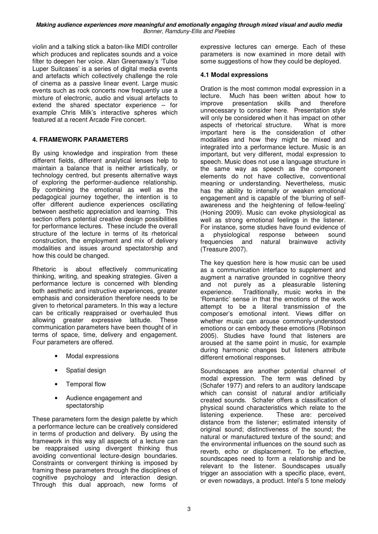violin and a talking stick a baton-like MIDI controller which produces and replicates sounds and a voice filter to deepen her voice. Alan Greenaway's 'Tulse Luper Suitcases' is a series of digital media events and artefacts which collectively challenge the role of cinema as a passive linear event. Large music events such as rock concerts now frequently use a mixture of electronic, audio and visual artefacts to extend the shared spectator experience – for example Chris Milk's interactive spheres which featured at a recent Arcade Fire concert.

## **4. FRAMEWORK PARAMETERS**

By using knowledge and inspiration from these different fields, different analytical lenses help to maintain a balance that is neither artistically, or technology centred, but presents alternative ways of exploring the performer-audience relationship. By combining the emotional as well as the pedagogical journey together, the intention is to offer different audience experiences oscillating between aesthetic appreciation and learning. This section offers potential creative design possibilities for performance lectures. These include the overall structure of the lecture in terms of its rhetorical construction, the employment and mix of delivery modalities and issues around spectatorship and how this could be changed.

Rhetoric is about effectively communicating thinking, writing, and speaking strategies. Given a performance lecture is concerned with blending both aesthetic and instructive experiences, greater emphasis and consideration therefore needs to be given to rhetorical parameters. In this way a lecture can be critically reappraised or overhauled thus allowing greater expressive latitude. These communication parameters have been thought of in terms of space, time, delivery and engagement. Four parameters are offered.

- Modal expressions
- Spatial design
- Temporal flow
- Audience engagement and spectatorship

These parameters form the design palette by which a performance lecture can be creatively considered in terms of production and delivery. By using the framework in this way all aspects of a lecture can be reappraised using divergent thinking thus avoiding conventional lecture-design boundaries. Constraints or convergent thinking is imposed by framing these parameters through the disciplines of cognitive psychology and interaction design. Through this dual approach, new forms of expressive lectures can emerge. Each of these parameters is now examined in more detail with some suggestions of how they could be deployed.

#### **4.1 Modal expressions**

Oration is the most common modal expression in a lecture. Much has been written about how to improve presentation skills and therefore unnecessary to consider here. Presentation style will only be considered when it has impact on other aspects of rhetorical structure. What is more important here is the consideration of other modalities and how they might be mixed and integrated into a performance lecture. Music is an important, but very different, modal expression to speech. Music does not use a language structure in the same way as speech as the component elements do not have collective, conventional meaning or understanding. Nevertheless, music has the ability to intensify or weaken emotional engagement and is capable of the 'blurring of selfawareness and the heightening of fellow-feeling' (Honing 2009). Music can evoke physiological as well as strong emotional feelings in the listener. For instance, some studies have found evidence of a physiological response between sound frequencies and natural brainwave activity (Treasure 2007).

The key question here is how music can be used as a communication interface to supplement and augment a narrative grounded in cognitive theory and not purely as a pleasurable listening experience. Traditionally, music works in the 'Romantic' sense in that the emotions of the work attempt to be a literal transmission of the composer's emotional intent. Views differ on whether music can arouse commonly-understood emotions or can embody these emotions (Robinson 2005). Studies have found that listeners are aroused at the same point in music, for example during harmonic changes but listeners attribute different emotional responses.

Soundscapes are another potential channel of modal expression. The term was defined by (Schafer 1977) and refers to an auditory landscape which can consist of natural and/or artificially created sounds. Schafer offers a classification of physical sound characteristics which relate to the listening experience. These are: perceived distance from the listener; estimated intensity of original sound; distinctiveness of the sound; the natural or manufactured texture of the sound; and the environmental influences on the sound such as reverb, echo or displacement. To be effective, soundscapes need to form a relationship and be relevant to the listener. Soundscapes usually trigger an association with a specific place, event, or even nowadays, a product. Intel's 5 tone melody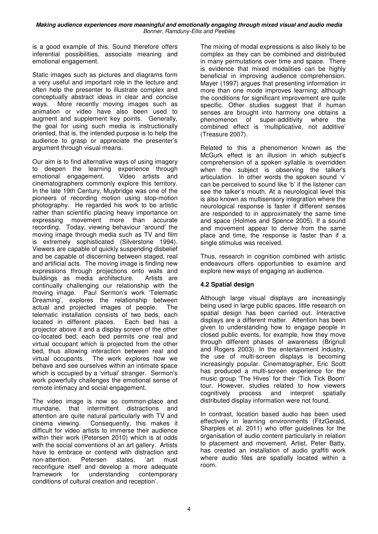is a good example of this. Sound therefore offers inferential possibilities, associate meaning and emotional engagement.

Static images such as pictures and diagrams form a very useful and important role in the lecture and often help the presenter to illustrate complex and conceptually abstract ideas in clear and concise ways. More recently moving images such as animation or video have also been used to augment and supplement key points. Generally, the goal for using such media is instructionally oriented, that is, the intended purpose is to help the audience to grasp or appreciate the presenter's argument through visual means.

Our aim is to find alternative ways of using imagery to deepen the learning experience through emotional engagement. Video artists and cinematographers commonly explore this territory. In the late 19th Century, Muybridge was one of the pioneers of recording motion using stop-motion photography. He regarded his work to be artistic rather than scientific placing heavy importance on expressing movement more than accurate recording. Today, viewing behaviour 'around' the moving image through media such as TV and film is extremely sophisticated (Silverstone 1994). Viewers are capable of quickly suspending disbelief and be capable of discerning between staged, real and artificial acts. The moving image is finding new expressions through projections onto walls and buildings as media architecture. Artists are continually challenging our relationship with the moving image. Paul Sermon's work 'Telematic Dreaming', explores the relationship between actual and projected images of people. The telematic installation consists of two beds, each located in different places. Each bed has a projector above it and a display screen of the other co-located bed; each bed permits one real and virtual occupant which is projected from the other bed, thus allowing interaction between real and virtual occupants. The work explores how we behave and see ourselves within an intimate space which is occupied by a 'virtual' stranger. Sermon's work powerfully challenges the emotional sense of remote intimacy and social engagement.

The video image is now so common-place and mundane, that intermittent distractions and attention are quite natural particularly with TV and cinema viewing. Consequently, this makes it difficult for video artists to immerse their audience within their work (Petersen 2010) which is at odds with the social conventions of an art gallery. Artists have to embrace or contend with distraction and non-attention. Petersen states, 'art must reconfigure itself and develop a more adequate framework for understanding contemporary conditions of cultural creation and reception'.

The mixing of modal expressions is also likely to be complex as they can be combined and distributed in many permutations over time and space. There is evidence that mixed modalities can be highly beneficial in improving audience comprehension. Mayer (1997) argues that presenting information in more than one mode improves learning; although the conditions for significant improvement are quite specific. Other studies suggest that if human senses are brought into harmony one obtains a phenomenon of super-additivity where the combined effect is 'multiplicative, not additive' (Treasure 2007).

Related to this a phenomenon known as the McGurk effect is an illusion in which subject's comprehension of a spoken syllable is overridden when the subject is observing the talker's articulation. In other words the spoken sound 'v' can be perceived to sound like 'b' if the listener can see the talker's mouth. At a neurological level this is also known as multisensory integration where the neurological response is faster if different senses are responded to in approximately the same time and space (Holmes and Spence 2005). If a sound and movement appear to derive from the same place and time, the response is faster than if a single stimulus was received.

Thus, research in cognition combined with artistic endeavours offers opportunities to examine and explore new ways of engaging an audience.

## **4.2 Spatial design**

Although large visual displays are increasingly being used in large public spaces, little research on spatial design has been carried out. Interactive displays are a different matter. Attention has been given to understanding how to engage people in closed public events, for example, how they move through different phases of awareness (Brignull and Rogers 2003). In the entertainment industry, the use of multi-screen displays is becoming increasingly popular. Cinematographer, Eric Scott has produced a multi-screen experience for the music group 'The Hives' for their 'Tick Tick Boom' tour. However, studies related to how viewers cognitively process and interpret spatially distributed display information were not found.

In contrast, location based audio has been used effectively in learning environments (FitzGerald, Sharples et al. 2011) who offer guidelines for the organisation of audio content particularly in relation to placement and movement. Artist, Peter Batty, has created an installation of audio graffiti work where audio files are spatially located within a room.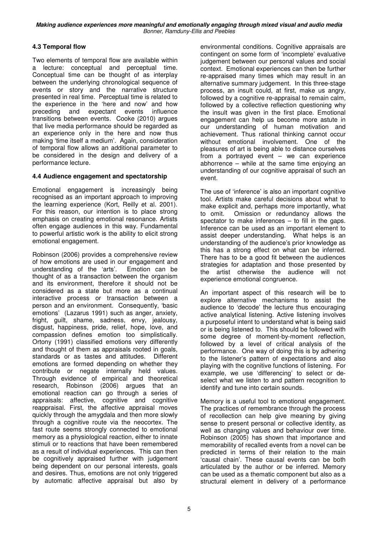## **4.3 Temporal flow**

Two elements of temporal flow are available within a lecture: conceptual and perceptual time. Conceptual time can be thought of as interplay between the underlying chronological sequence of events or story and the narrative structure presented in real time. Perceptual time is related to the experience in the 'here and now' and how preceding and expectant events influence transitions between events. Cooke (2010) argues that live media performance should be regarded as an experience only in the here and now thus making 'time itself a medium'. Again, consideration of temporal flow allows an additional parameter to be considered in the design and delivery of a performance lecture.

#### **4.4 Audience engagement and spectatorship**

Emotional engagement is increasingly being recognised as an important approach to improving the learning experience (Kort, Reilly et al. 2001). For this reason, our intention is to place strong emphasis on creating emotional resonance. Artists often engage audiences in this way. Fundamental to powerful artistic work is the ability to elicit strong emotional engagement.

Robinson (2006) provides a comprehensive review of how emotions are used in our engagement and understanding of the 'arts'. Emotion can be thought of as a transaction between the organism and its environment, therefore it should not be considered as a state but more as a continual interactive process or transaction between a person and an environment. Consequently, 'basic emotions' (Lazarus 1991) such as anger, anxiety, fright, guilt, shame, sadness, envy, jealousy, disgust, happiness, pride, relief, hope, love, and compassion defines emotion too simplistically. Ortony (1991) classified emotions very differently and thought of them as appraisals rooted in goals, standards or as tastes and attitudes. Different emotions are formed depending on whether they contribute or negate internally held values. Through evidence of empirical and theoretical research, Robinson (2006) argues that an emotional reaction can go through a series of appraisals: affective, cognitive and cognitive reappraisal. First, the affective appraisal moves quickly through the amygdala and then more slowly through a cognitive route via the neocortex. The fast route seems strongly connected to emotional memory as a physiological reaction, either to innate stimuli or to reactions that have been remembered as a result of individual experiences. This can then be cognitively appraised further with judgement being dependent on our personal interests, goals and desires. Thus, emotions are not only triggered by automatic affective appraisal but also by

environmental conditions. Cognitive appraisals are contingent on some form of 'incomplete' evaluative judgement between our personal values and social context. Emotional experiences can then be further re-appraised many times which may result in an alternative summary judgement. In this three-stage process, an insult could, at first, make us angry, followed by a cognitive re-appraisal to remain calm. followed by a collective reflection questioning why the insult was given in the first place. Emotional engagement can help us become more astute in our understanding of human motivation and achievement. Thus rational thinking cannot occur without emotional involvement. One of the pleasures of art is being able to distance ourselves from a portrayed event – we can experience abhorrence – while at the same time enjoying an understanding of our cognitive appraisal of such an event.

The use of 'inference' is also an important cognitive tool. Artists make careful decisions about what to make explicit and, perhaps more importantly, what to omit. Omission or redundancy allows the spectator to make inferences  $-$  to fill in the gaps. Inference can be used as an important element to assist deeper understanding. What helps is an understanding of the audience's prior knowledge as this has a strong effect on what can be inferred. There has to be a good fit between the audiences strategies for adaptation and those presented by the artist otherwise the audience will not experience emotional congruence.

An important aspect of this research will be to explore alternative mechanisms to assist the audience to 'decode' the lecture thus encouraging active analytical listening. Active listening involves a purposeful intent to understand what is being said or is being listened to. This should be followed with some degree of moment-by-moment reflection, followed by a level of critical analysis of the performance. One way of doing this is by adhering to the listener's pattern of expectations and also playing with the cognitive functions of listening. For example, we use 'differencing' to select or deselect what we listen to and pattern recognition to identify and tune into certain sounds.

Memory is a useful tool to emotional engagement. The practices of remembrance through the process of recollection can help give meaning by giving sense to present personal or collective identity, as well as changing values and behaviour over time. Robinson (2005) has shown that importance and memorability of recalled events from a novel can be predicted in terms of their relation to the main 'causal chain'. These causal events can be both articulated by the author or be inferred. Memory can be used as a thematic component but also as a structural element in delivery of a performance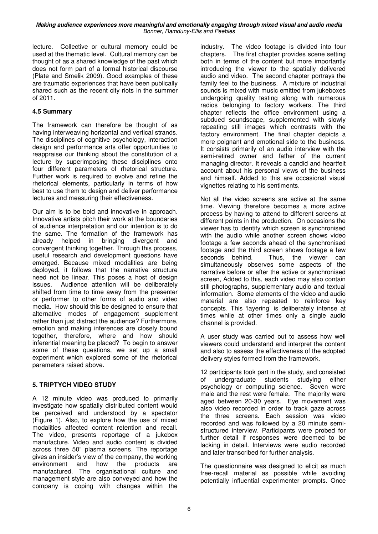lecture. Collective or cultural memory could be used at the thematic level. Cultural memory can be thought of as a shared knowledge of the past which does not form part of a formal historical discourse (Plate and Smelik 2009). Good examples of these are traumatic experiences that have been publically shared such as the recent city riots in the summer of 2011.

#### **4.5 Summary**

The framework can therefore be thought of as having interweaving horizontal and vertical strands. The disciplines of cognitive psychology, interaction design and performance arts offer opportunities to reappraise our thinking about the constitution of a lecture by superimposing these disciplines onto four different parameters of rhetorical structure. Further work is required to evolve and refine the rhetorical elements, particularly in terms of how best to use them to design and deliver performance lectures and measuring their effectiveness.

Our aim is to be bold and innovative in approach. Innovative artists pitch their work at the boundaries of audience interpretation and our intention is to do the same. The formation of the framework has already helped in bringing divergent and convergent thinking together. Through this process, useful research and development questions have emerged. Because mixed modalities are being deployed, it follows that the narrative structure need not be linear. This poses a host of design issues. Audience attention will be deliberately shifted from time to time away from the presenter or performer to other forms of audio and video media. How should this be designed to ensure that alternative modes of engagement supplement rather than just distract the audience? Furthermore, emotion and making inferences are closely bound together, therefore, where and how should inferential meaning be placed? To begin to answer some of these questions, we set up a small experiment which explored some of the rhetorical parameters raised above.

#### **5. TRIPTYCH VIDEO STUDY**

A 12 minute video was produced to primarily investigate how spatially distributed content would be perceived and understood by a spectator (Figure 1). Also, to explore how the use of mixed modalities affected content retention and recall. The video, presents reportage of a jukebox manufacture. Video and audio content is divided across three 50" plasma screens. The reportage gives an insider's view of the company, the working environment and how the products are manufactured. The organisational culture and management style are also conveyed and how the company is coping with changes within the

industry. The video footage is divided into four chapters. The first chapter provides scene setting both in terms of the content but more importantly introducing the viewer to the spatially delivered audio and video. The second chapter portrays the family feel to the business. A mixture of industrial sounds is mixed with music emitted from jukeboxes undergoing quality testing along with numerous radios belonging to factory workers. The third chapter reflects the office environment using a subdued soundscape, supplemented with slowly repeating still images which contrasts with the factory environment. The final chapter depicts a more poignant and emotional side to the business. It consists primarily of an audio interview with the semi-retired owner and father of the current managing director. It reveals a candid and heartfelt account about his personal views of the business and himself. Added to this are occasional visual vignettes relating to his sentiments.

Not all the video screens are active at the same time. Viewing therefore becomes a more active process by having to attend to different screens at different points in the production. On occasions the viewer has to identify which screen is synchronised with the audio while another screen shows video footage a few seconds ahead of the synchronised footage and the third screen shows footage a few seconds behind. Thus, the viewer can simultaneously observes some aspects of the narrative before or after the active or synchronised screen, Added to this, each video may also contain still photographs, supplementary audio and textual information. Some elements of the video and audio material are also repeated to reinforce key concepts. This 'layering' is deliberately intense at times while at other times only a single audio channel is provided.

A user study was carried out to assess how well viewers could understand and interpret the content and also to assess the effectiveness of the adopted delivery styles formed from the framework.

12 participants took part in the study, and consisted of undergraduate students studying either psychology or computing science. Seven were male and the rest were female. The majority were aged between 20-30 years. Eye movement was also video recorded in order to track gaze across the three screens. Each session was video recorded and was followed by a 20 minute semistructured interview. Participants were probed for further detail if responses were deemed to be lacking in detail. Interviews were audio recorded and later transcribed for further analysis.

The questionnaire was designed to elicit as much free-recall material as possible while avoiding potentially influential experimenter prompts. Once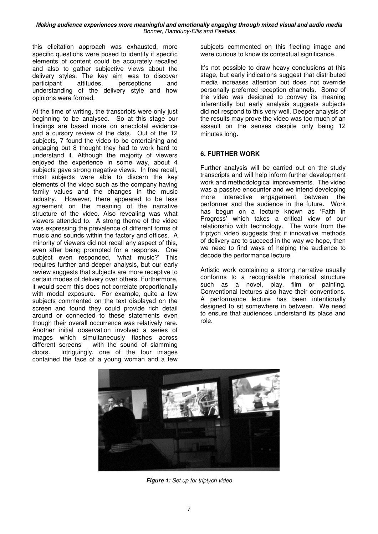this elicitation approach was exhausted, more specific questions were posed to identify if specific elements of content could be accurately recalled and also to gather subjective views about the delivery styles. The key aim was to discover participant attitudes, perceptions and understanding of the delivery style and how opinions were formed.

At the time of writing, the transcripts were only just beginning to be analysed. So at this stage our findings are based more on anecdotal evidence and a cursory review of the data. Out of the 12 subjects, 7 found the video to be entertaining and engaging but 8 thought they had to work hard to understand it. Although the majority of viewers enjoyed the experience in some way, about 4 subjects gave strong negative views. In free recall, most subjects were able to discern the key elements of the video such as the company having family values and the changes in the music industry. However, there appeared to be less agreement on the meaning of the narrative structure of the video. Also revealing was what viewers attended to. A strong theme of the video was expressing the prevalence of different forms of music and sounds within the factory and offices. A minority of viewers did not recall any aspect of this, even after being prompted for a response. One subject even responded, 'what music?' This requires further and deeper analysis, but our early review suggests that subjects are more receptive to certain modes of delivery over others. Furthermore, it would seem this does not correlate proportionally with modal exposure. For example, quite a few subjects commented on the text displayed on the screen and found they could provide rich detail around or connected to these statements even though their overall occurrence was relatively rare. Another initial observation involved a series of images which simultaneously flashes across different screens with the sound of slamming doors. Intriguingly, one of the four images contained the face of a young woman and a few

subjects commented on this fleeting image and were curious to know its contextual significance.

It's not possible to draw heavy conclusions at this stage, but early indications suggest that distributed media increases attention but does not override personally preferred reception channels. Some of the video was designed to convey its meaning inferentially but early analysis suggests subjects did not respond to this very well. Deeper analysis of the results may prove the video was too much of an assault on the senses despite only being 12 minutes long.

#### **6. FURTHER WORK**

Further analysis will be carried out on the study transcripts and will help inform further development work and methodological improvements. The video was a passive encounter and we intend developing more interactive engagement between the performer and the audience in the future. Work has begun on a lecture known as 'Faith in Progress' which takes a critical view of our relationship with technology. The work from the triptych video suggests that if innovative methods of delivery are to succeed in the way we hope, then we need to find ways of helping the audience to decode the performance lecture.

Artistic work containing a strong narrative usually conforms to a recognisable rhetorical structure such as a novel, play, film or painting. Conventional lectures also have their conventions. A performance lecture has been intentionally designed to sit somewhere in between. We need to ensure that audiences understand its place and role.



**Figure 1:** Set up for triptych video